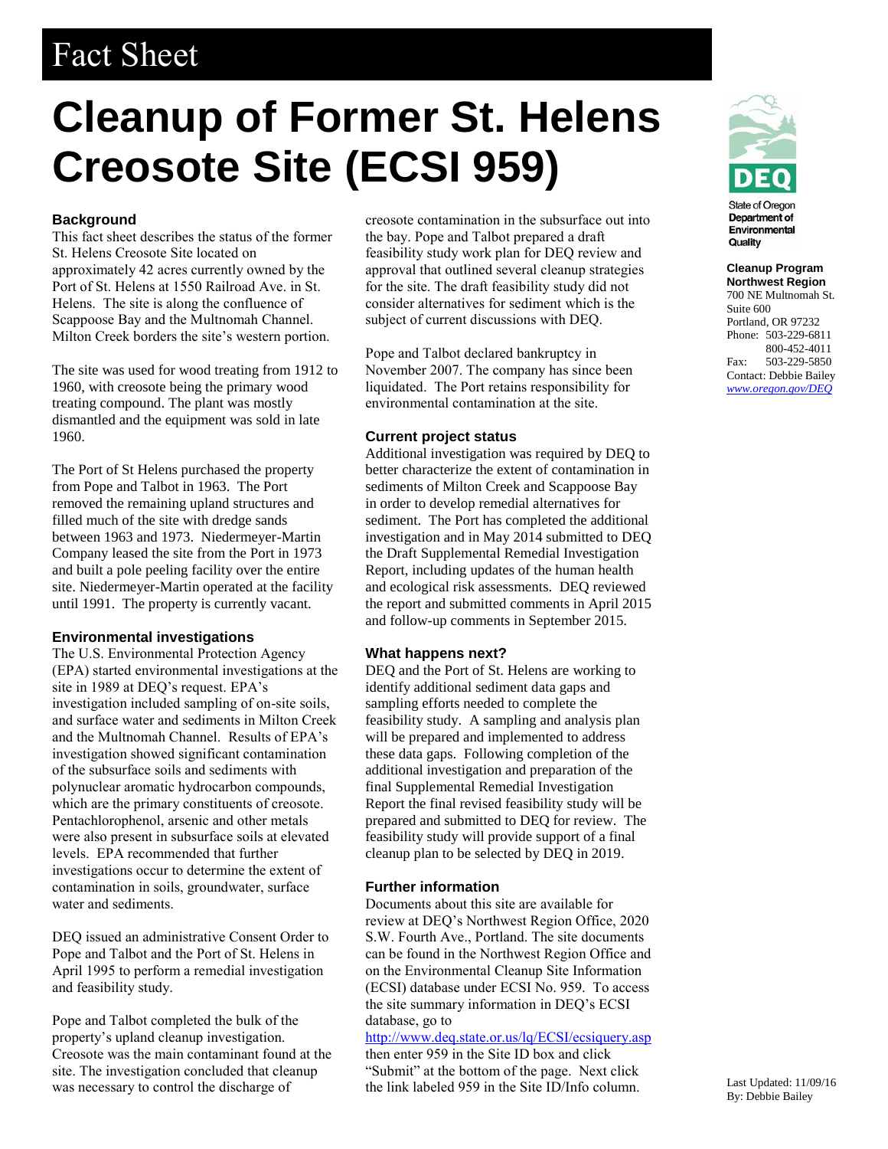## Fact Sheet

# **Cleanup of Former St. Helens Creosote Site (ECSI 959)**

#### **Background**

This fact sheet describes the status of the former St. Helens Creosote Site located on approximately 42 acres currently owned by the Port of St. Helens at 1550 Railroad Ave. in St. Helens. The site is along the confluence of Scappoose Bay and the Multnomah Channel. Milton Creek borders the site's western portion.

The site was used for wood treating from 1912 to 1960, with creosote being the primary wood treating compound. The plant was mostly dismantled and the equipment was sold in late 1960.

The Port of St Helens purchased the property from Pope and Talbot in 1963. The Port removed the remaining upland structures and filled much of the site with dredge sands between 1963 and 1973. Niedermeyer-Martin Company leased the site from the Port in 1973 and built a pole peeling facility over the entire site. Niedermeyer-Martin operated at the facility until 1991. The property is currently vacant.

#### **Environmental investigations**

The U.S. Environmental Protection Agency (EPA) started environmental investigations at the site in 1989 at DEQ's request. EPA's investigation included sampling of on-site soils, and surface water and sediments in Milton Creek and the Multnomah Channel. Results of EPA's investigation showed significant contamination of the subsurface soils and sediments with polynuclear aromatic hydrocarbon compounds, which are the primary constituents of creosote. Pentachlorophenol, arsenic and other metals were also present in subsurface soils at elevated levels. EPA recommended that further investigations occur to determine the extent of contamination in soils, groundwater, surface water and sediments.

DEQ issued an administrative Consent Order to Pope and Talbot and the Port of St. Helens in April 1995 to perform a remedial investigation and feasibility study.

Pope and Talbot completed the bulk of the property's upland cleanup investigation. Creosote was the main contaminant found at the site. The investigation concluded that cleanup was necessary to control the discharge of

creosote contamination in the subsurface out into the bay. Pope and Talbot prepared a draft feasibility study work plan for DEQ review and approval that outlined several cleanup strategies for the site. The draft feasibility study did not consider alternatives for sediment which is the subject of current discussions with DEQ.

Pope and Talbot declared bankruptcy in November 2007. The company has since been liquidated. The Port retains responsibility for environmental contamination at the site.

#### **Current project status**

Additional investigation was required by DEQ to better characterize the extent of contamination in sediments of Milton Creek and Scappoose Bay in order to develop remedial alternatives for sediment. The Port has completed the additional investigation and in May 2014 submitted to DEQ the Draft Supplemental Remedial Investigation Report, including updates of the human health and ecological risk assessments. DEQ reviewed the report and submitted comments in April 2015 and follow-up comments in September 2015.

#### **What happens next?**

DEQ and the Port of St. Helens are working to identify additional sediment data gaps and sampling efforts needed to complete the feasibility study. A sampling and analysis plan will be prepared and implemented to address these data gaps. Following completion of the additional investigation and preparation of the final Supplemental Remedial Investigation Report the final revised feasibility study will be prepared and submitted to DEQ for review. The feasibility study will provide support of a final cleanup plan to be selected by DEQ in 2019.

#### **Further information**

Documents about this site are available for review at DEQ's Northwest Region Office, 2020 S.W. Fourth Ave., Portland. The site documents can be found in the Northwest Region Office and on the Environmental Cleanup Site Information (ECSI) database under ECSI No. 959. To access the site summary information in DEQ's ECSI database, go to

### <http://www.deq.state.or.us/lq/ECSI/ecsiquery.asp>

then enter 959 in the Site ID box and click "Submit" at the bottom of the page. Next click the link labeled 959 in the Site ID/Info column.



Department of Environmental Quality

**Cleanup Program Northwest Region**  700 NE Multnomah St. Suite 600 Portland, OR 97232 Phone: 503-229-6811 800-452-4011 Fax: 503-229-5850 Contact: Debbie Bailey *www.oregon.gov/DEQ*